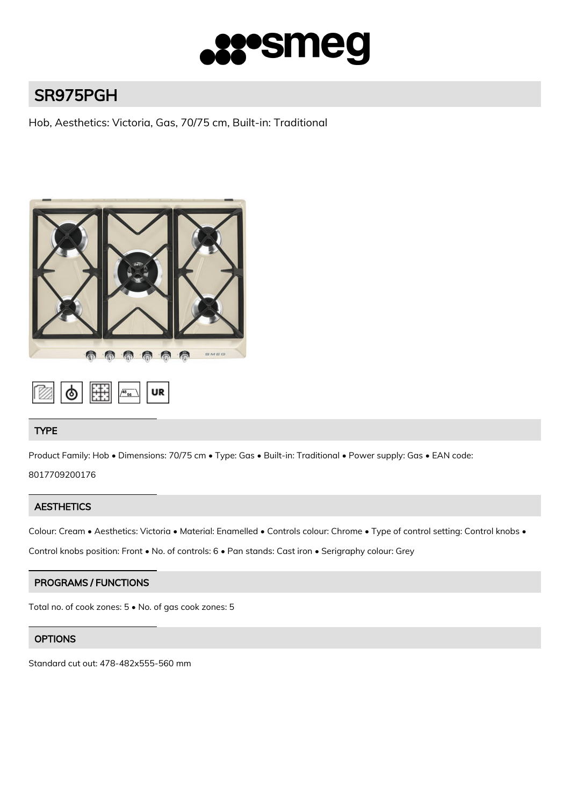

# SR975PGH

Hob, Aesthetics: Victoria, Gas, 70/75 cm, Built-in: Traditional



# TYPE

Product Family: Hob • Dimensions: 70/75 cm • Type: Gas • Built-in: Traditional • Power supply: Gas • EAN code:

8017709200176

# **AESTHETICS**

Colour: Cream • Aesthetics: Victoria • Material: Enamelled • Controls colour: Chrome • Type of control setting: Control knobs •

Control knobs position: Front • No. of controls: 6 • Pan stands: Cast iron • Serigraphy colour: Grey

# PROGRAMS / FUNCTIONS

Total no. of cook zones: 5 • No. of gas cook zones: 5

# **OPTIONS**

Standard cut out: 478-482x555-560 mm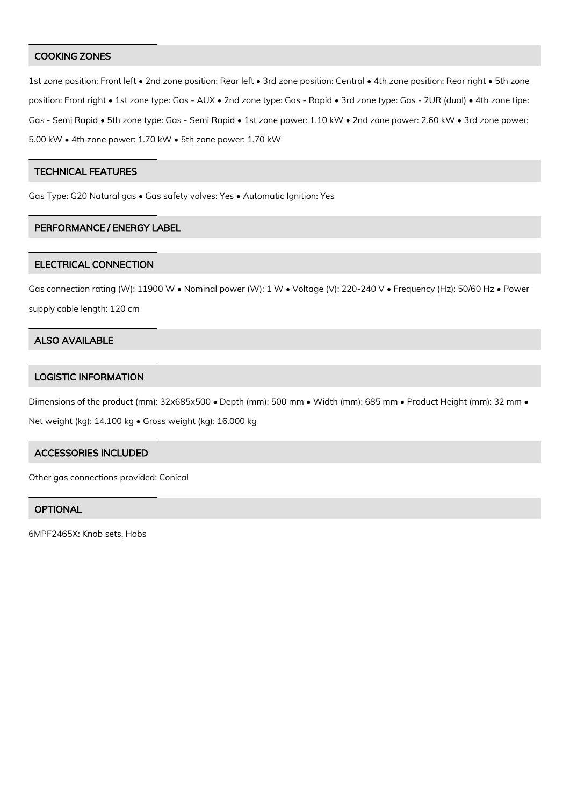#### COOKING ZONES

1st zone position: Front left • 2nd zone position: Rear left • 3rd zone position: Central • 4th zone position: Rear right • 5th zone position: Front right • 1st zone type: Gas - AUX • 2nd zone type: Gas - Rapid • 3rd zone type: Gas - 2UR (dual) • 4th zone tipe: Gas - Semi Rapid • 5th zone type: Gas - Semi Rapid • 1st zone power: 1.10 kW • 2nd zone power: 2.60 kW • 3rd zone power: 5.00 kW • 4th zone power: 1.70 kW • 5th zone power: 1.70 kW

#### TECHNICAL FEATURES

Gas Type: G20 Natural gas • Gas safety valves: Yes • Automatic Ignition: Yes

#### PERFORMANCE / ENERGY LABEL

#### ELECTRICAL CONNECTION

Gas connection rating (W): 11900 W • Nominal power (W): 1 W • Voltage (V): 220-240 V • Frequency (Hz): 50/60 Hz • Power supply cable length: 120 cm

#### ALSO AVAILABLE

### LOGISTIC INFORMATION

Dimensions of the product (mm): 32x685x500 • Depth (mm): 500 mm • Width (mm): 685 mm • Product Height (mm): 32 mm •

Net weight (kg): 14.100 kg • Gross weight (kg): 16.000 kg

#### ACCESSORIES INCLUDED

Other gas connections provided: Conical

## **OPTIONAL**

6MPF2465X: Knob sets, Hobs